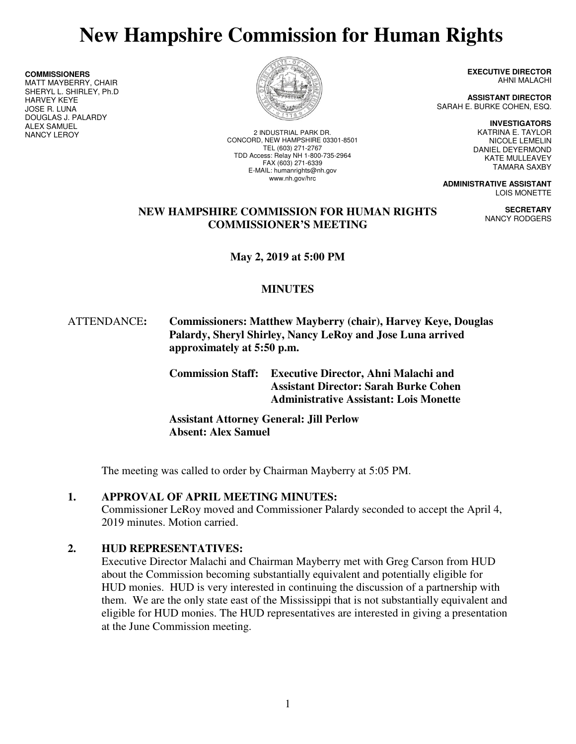# **New Hampshire Commission for Human Rights**

**COMMISSIONERS**

MATT MAYBERRY, CHAIR SHERYL L. SHIRLEY, Ph.D HARVEY KEYE JOSE R. LUNA DOUGLAS J. PALARDY **ALEX SAMUEL<br>NANCY LEROY** 



2 INDUSTRIAL PARK DR. CONCORD, NEW HAMPSHIRE 03301-8501 TEL (603) 271-2767 TDD Access: Relay NH 1-800-735-2964 FAX (603) 271-6339 E-MAIL: humanrights@nh.gov www.nh.gov/hrc

**EXECUTIVE DIRECTOR** AHNI MALACHI

**ASSISTANT DIRECTOR**  SARAH E. BURKE COHEN, ESQ.

**INVESTIGATORS** 

**SECRETARY**  NANCY RODGERS

KATRINA E. TAYLOR NICOLE LEMELIN DANIEL DEYERMOND KATE MULLEAVEY TAMARA SAXBY

**ADMINISTRATIVE ASSISTANT**  LOIS MONETTE

## **NEW HAMPSHIRE COMMISSION FOR HUMAN RIGHTS COMMISSIONER'S MEETING**

**May 2, 2019 at 5:00 PM** 

# **MINUTES**

## ATTENDANCE**: Commissioners: Matthew Mayberry (chair), Harvey Keye, Douglas Palardy, Sheryl Shirley, Nancy LeRoy and Jose Luna arrived approximately at 5:50 p.m.**

 **Commission Staff: Executive Director, Ahni Malachi and Assistant Director: Sarah Burke Cohen Administrative Assistant: Lois Monette** 

**Assistant Attorney General: Jill Perlow Absent: Alex Samuel** 

The meeting was called to order by Chairman Mayberry at 5:05 PM.

## **1. APPROVAL OF APRIL MEETING MINUTES:**

Commissioner LeRoy moved and Commissioner Palardy seconded to accept the April 4, 2019 minutes. Motion carried.

# **2. HUD REPRESENTATIVES:**

Executive Director Malachi and Chairman Mayberry met with Greg Carson from HUD about the Commission becoming substantially equivalent and potentially eligible for HUD monies. HUD is very interested in continuing the discussion of a partnership with them. We are the only state east of the Mississippi that is not substantially equivalent and eligible for HUD monies. The HUD representatives are interested in giving a presentation at the June Commission meeting.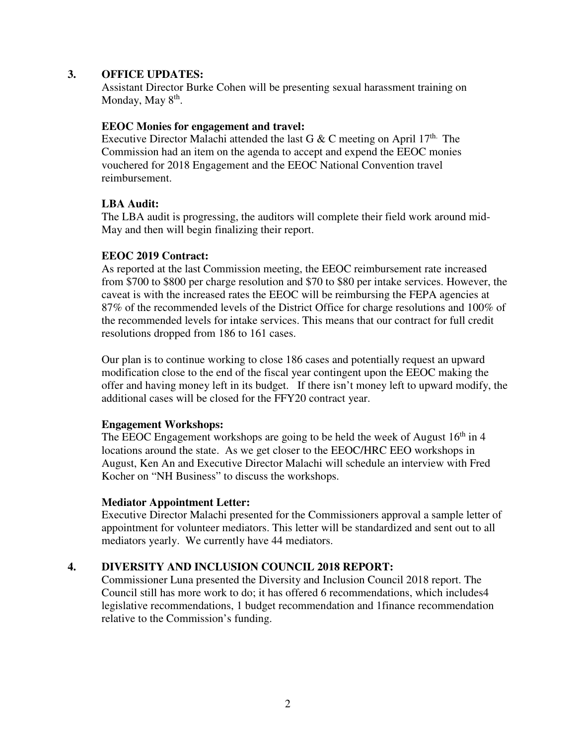#### **3. OFFICE UPDATES:**

Assistant Director Burke Cohen will be presenting sexual harassment training on Monday, May 8<sup>th</sup>.

#### **EEOC Monies for engagement and travel:**

Executive Director Malachi attended the last G & C meeting on April  $17<sup>th</sup>$ . The Commission had an item on the agenda to accept and expend the EEOC monies vouchered for 2018 Engagement and the EEOC National Convention travel reimbursement.

## **LBA Audit:**

The LBA audit is progressing, the auditors will complete their field work around mid-May and then will begin finalizing their report.

## **EEOC 2019 Contract:**

As reported at the last Commission meeting, the EEOC reimbursement rate increased from \$700 to \$800 per charge resolution and \$70 to \$80 per intake services. However, the caveat is with the increased rates the EEOC will be reimbursing the FEPA agencies at 87% of the recommended levels of the District Office for charge resolutions and 100% of the recommended levels for intake services. This means that our contract for full credit resolutions dropped from 186 to 161 cases.

Our plan is to continue working to close 186 cases and potentially request an upward modification close to the end of the fiscal year contingent upon the EEOC making the offer and having money left in its budget. If there isn't money left to upward modify, the additional cases will be closed for the FFY20 contract year.

#### **Engagement Workshops:**

The EEOC Engagement workshops are going to be held the week of August  $16<sup>th</sup>$  in 4 locations around the state. As we get closer to the EEOC/HRC EEO workshops in August, Ken An and Executive Director Malachi will schedule an interview with Fred Kocher on "NH Business" to discuss the workshops.

#### **Mediator Appointment Letter:**

Executive Director Malachi presented for the Commissioners approval a sample letter of appointment for volunteer mediators. This letter will be standardized and sent out to all mediators yearly. We currently have 44 mediators.

## **4. DIVERSITY AND INCLUSION COUNCIL 2018 REPORT:**

Commissioner Luna presented the Diversity and Inclusion Council 2018 report. The Council still has more work to do; it has offered 6 recommendations, which includes4 legislative recommendations, 1 budget recommendation and 1finance recommendation relative to the Commission's funding.